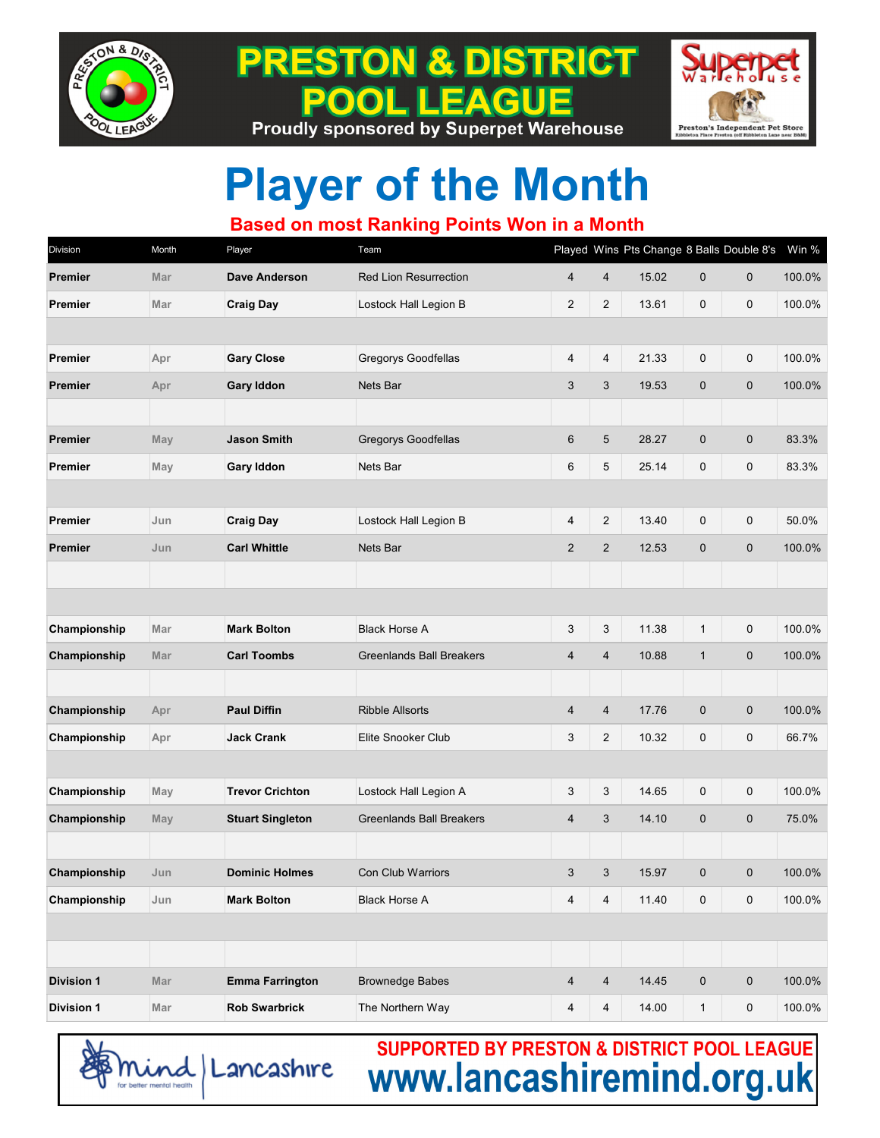

En mind Lancashire

**PRESTON & DISTRICT** <u>. LEAGUE</u> **POOI Proudly sponsored by Superpet Warehouse** 



## **Player of the Month**

**Based on most Ranking Points Won in a Month**

| Division          | Month | Player                  | Team                            |                         |                 | Played Wins Pts Change 8 Balls Double 8's Win % |              |             |        |
|-------------------|-------|-------------------------|---------------------------------|-------------------------|-----------------|-------------------------------------------------|--------------|-------------|--------|
| <b>Premier</b>    | Mar   | <b>Dave Anderson</b>    | <b>Red Lion Resurrection</b>    | $\overline{\mathbf{4}}$ | $\overline{4}$  | 15.02                                           | $\mathbf 0$  | $\pmb{0}$   | 100.0% |
| <b>Premier</b>    | Mar   | <b>Craig Day</b>        | Lostock Hall Legion B           | $\overline{c}$          | $\overline{2}$  | 13.61                                           | 0            | $\pmb{0}$   | 100.0% |
|                   |       |                         |                                 |                         |                 |                                                 |              |             |        |
| <b>Premier</b>    | Apr   | <b>Gary Close</b>       | Gregorys Goodfellas             | 4                       | $\overline{4}$  | 21.33                                           | 0            | $\pmb{0}$   | 100.0% |
| Premier           | Apr   | <b>Gary Iddon</b>       | Nets Bar                        | $\sqrt{3}$              | 3               | 19.53                                           | $\pmb{0}$    | $\pmb{0}$   | 100.0% |
|                   |       |                         |                                 |                         |                 |                                                 |              |             |        |
| <b>Premier</b>    | May   | <b>Jason Smith</b>      | <b>Gregorys Goodfellas</b>      | 6                       | $5\phantom{.0}$ | 28.27                                           | $\mathbf 0$  | $\pmb{0}$   | 83.3%  |
| Premier           | May   | <b>Gary Iddon</b>       | Nets Bar                        | 6                       | 5               | 25.14                                           | 0            | $\pmb{0}$   | 83.3%  |
|                   |       |                         |                                 |                         |                 |                                                 |              |             |        |
| <b>Premier</b>    | Jun   | <b>Craig Day</b>        | Lostock Hall Legion B           | 4                       | $\overline{c}$  | 13.40                                           | 0            | $\pmb{0}$   | 50.0%  |
| <b>Premier</b>    | Jun   | <b>Carl Whittle</b>     | Nets Bar                        | $\overline{2}$          | $\overline{2}$  | 12.53                                           | $\mathbf 0$  | $\pmb{0}$   | 100.0% |
|                   |       |                         |                                 |                         |                 |                                                 |              |             |        |
|                   |       |                         |                                 |                         |                 |                                                 |              |             |        |
| Championship      | Mar   | <b>Mark Bolton</b>      | <b>Black Horse A</b>            | 3                       | $\mathbf{3}$    | 11.38                                           | $\mathbf{1}$ | $\pmb{0}$   | 100.0% |
| Championship      | Mar   | <b>Carl Toombs</b>      | <b>Greenlands Ball Breakers</b> | $\overline{\mathbf{4}}$ | $\overline{4}$  | 10.88                                           | $\mathbf{1}$ | $\pmb{0}$   | 100.0% |
|                   |       |                         |                                 |                         |                 |                                                 |              |             |        |
| Championship      | Apr   | <b>Paul Diffin</b>      | <b>Ribble Allsorts</b>          | $\overline{\mathbf{4}}$ | $\overline{4}$  | 17.76                                           | $\mathbf 0$  | $\mathbf 0$ | 100.0% |
| Championship      | Apr   | <b>Jack Crank</b>       | Elite Snooker Club              | 3                       | $\overline{2}$  | 10.32                                           | 0            | $\pmb{0}$   | 66.7%  |
|                   |       |                         |                                 |                         |                 |                                                 |              |             |        |
| Championship      | May   | <b>Trevor Crichton</b>  | Lostock Hall Legion A           | 3                       | 3               | 14.65                                           | 0            | 0           | 100.0% |
| Championship      | May   | <b>Stuart Singleton</b> | <b>Greenlands Ball Breakers</b> | $\overline{\mathbf{4}}$ | 3               | 14.10                                           | $\pmb{0}$    | $\pmb{0}$   | 75.0%  |
|                   |       |                         |                                 |                         |                 |                                                 |              |             |        |
| Championship      | Jun   | <b>Dominic Holmes</b>   | <b>Con Club Warriors</b>        | $\sqrt{3}$              | 3               | 15.97                                           | $\mathbf 0$  | $\pmb{0}$   | 100.0% |
| Championship      | Jun   | <b>Mark Bolton</b>      | <b>Black Horse A</b>            | 4                       | $\overline{4}$  | 11.40                                           | 0            | $\pmb{0}$   | 100.0% |
|                   |       |                         |                                 |                         |                 |                                                 |              |             |        |
|                   |       |                         |                                 |                         |                 |                                                 |              |             |        |
| <b>Division 1</b> | Mar   | <b>Emma Farrington</b>  | <b>Brownedge Babes</b>          | 4                       | 4               | 14.45                                           | $\pmb{0}$    | $\pmb{0}$   | 100.0% |
| <b>Division 1</b> | Mar   | <b>Rob Swarbrick</b>    | The Northern Way                | 4                       | 4               | 14.00                                           | $\mathbf{1}$ | 0           | 100.0% |
|                   |       |                         |                                 |                         |                 |                                                 |              |             |        |

## SUPPORTED BY PRESTON & DISTRICT POOL LEAGUE www.lancashiremind.org.uk